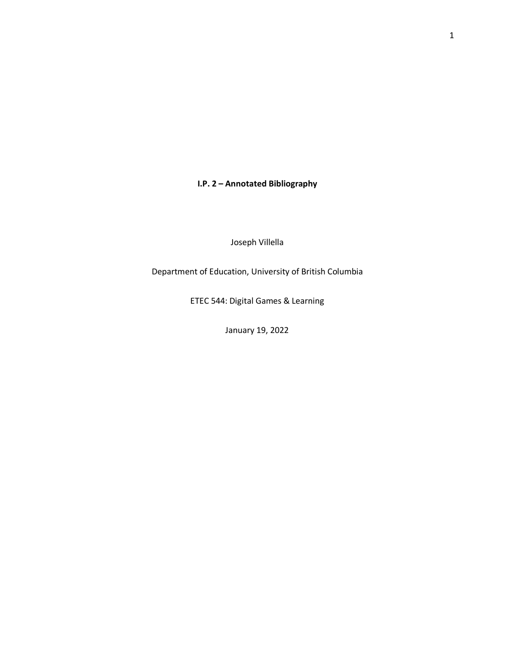**I.P. 2 – Annotated Bibliography**

Joseph Villella

Department of Education, University of British Columbia

ETEC 544: Digital Games & Learning

January 19, 2022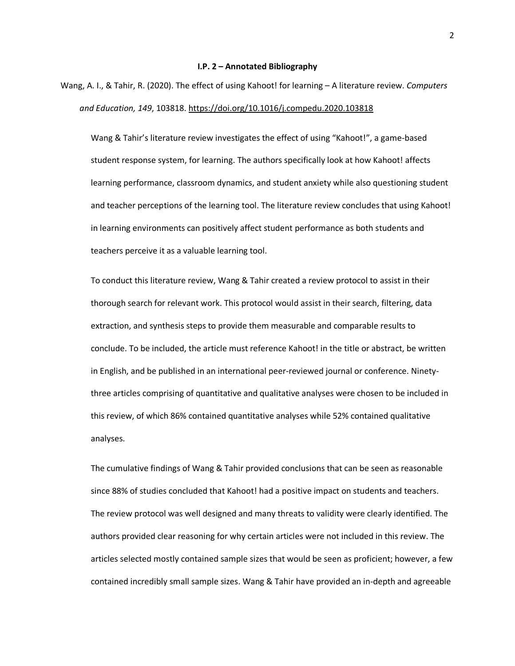## **I.P. 2 – Annotated Bibliography**

Wang, A. I., & Tahir, R. (2020). The effect of using Kahoot! for learning – A literature review. *Computers and Education, 149*, 103818. <https://doi.org/10.1016/j.compedu.2020.103818>

Wang & Tahir's literature review investigates the effect of using "Kahoot!", a game-based student response system, for learning. The authors specifically look at how Kahoot! affects learning performance, classroom dynamics, and student anxiety while also questioning student and teacher perceptions of the learning tool. The literature review concludes that using Kahoot! in learning environments can positively affect student performance as both students and teachers perceive it as a valuable learning tool.

To conduct this literature review, Wang & Tahir created a review protocol to assist in their thorough search for relevant work. This protocol would assist in their search, filtering, data extraction, and synthesis steps to provide them measurable and comparable results to conclude. To be included, the article must reference Kahoot! in the title or abstract, be written in English, and be published in an international peer-reviewed journal or conference. Ninetythree articles comprising of quantitative and qualitative analyses were chosen to be included in this review, of which 86% contained quantitative analyses while 52% contained qualitative analyses.

The cumulative findings of Wang & Tahir provided conclusions that can be seen as reasonable since 88% of studies concluded that Kahoot! had a positive impact on students and teachers. The review protocol was well designed and many threats to validity were clearly identified. The authors provided clear reasoning for why certain articles were not included in this review. The articles selected mostly contained sample sizes that would be seen as proficient; however, a few contained incredibly small sample sizes. Wang & Tahir have provided an in-depth and agreeable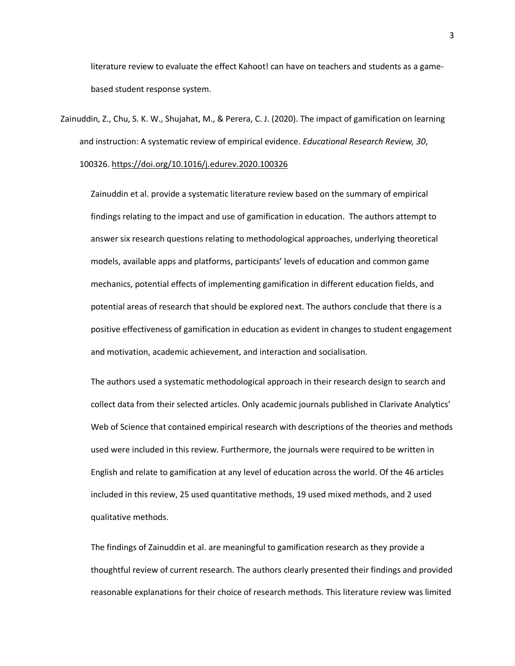literature review to evaluate the effect Kahoot! can have on teachers and students as a gamebased student response system.

Zainuddin, Z., Chu, S. K. W., Shujahat, M., & Perera, C. J. (2020). The impact of gamification on learning and instruction: A systematic review of empirical evidence. *Educational Research Review, 30*, 100326. <https://doi.org/10.1016/j.edurev.2020.100326>

Zainuddin et al. provide a systematic literature review based on the summary of empirical findings relating to the impact and use of gamification in education. The authors attempt to answer six research questions relating to methodological approaches, underlying theoretical models, available apps and platforms, participants' levels of education and common game mechanics, potential effects of implementing gamification in different education fields, and potential areas of research that should be explored next. The authors conclude that there is a positive effectiveness of gamification in education as evident in changes to student engagement and motivation, academic achievement, and interaction and socialisation.

The authors used a systematic methodological approach in their research design to search and collect data from their selected articles. Only academic journals published in Clarivate Analytics' Web of Science that contained empirical research with descriptions of the theories and methods used were included in this review. Furthermore, the journals were required to be written in English and relate to gamification at any level of education across the world. Of the 46 articles included in this review, 25 used quantitative methods, 19 used mixed methods, and 2 used qualitative methods.

The findings of Zainuddin et al. are meaningful to gamification research as they provide a thoughtful review of current research. The authors clearly presented their findings and provided reasonable explanations for their choice of research methods. This literature review was limited